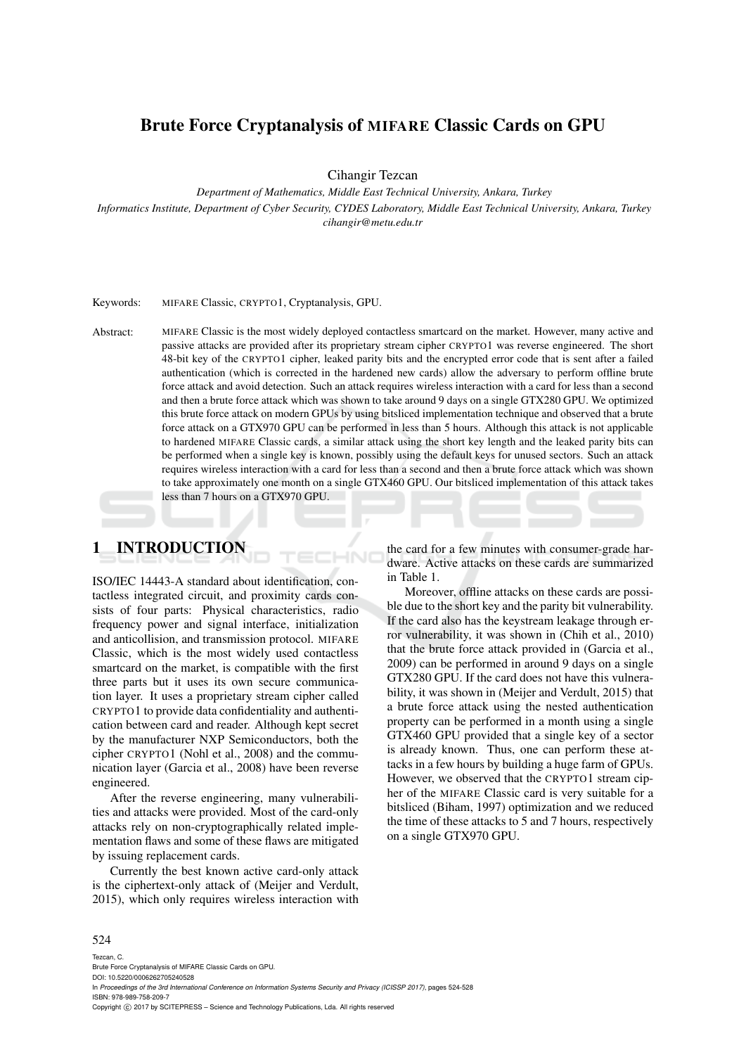## Brute Force Cryptanalysis of MIFARE Classic Cards on GPU

Cihangir Tezcan

*Department of Mathematics, Middle East Technical University, Ankara, Turkey*

*Informatics Institute, Department of Cyber Security, CYDES Laboratory, Middle East Technical University, Ankara, Turkey cihangir@metu.edu.tr*

Keywords: MIFARE Classic, CRYPTO1, Cryptanalysis, GPU.

Abstract: MIFARE Classic is the most widely deployed contactless smartcard on the market. However, many active and passive attacks are provided after its proprietary stream cipher CRYPTO1 was reverse engineered. The short 48-bit key of the CRYPTO1 cipher, leaked parity bits and the encrypted error code that is sent after a failed authentication (which is corrected in the hardened new cards) allow the adversary to perform offline brute force attack and avoid detection. Such an attack requires wireless interaction with a card for less than a second and then a brute force attack which was shown to take around 9 days on a single GTX280 GPU. We optimized this brute force attack on modern GPUs by using bitsliced implementation technique and observed that a brute force attack on a GTX970 GPU can be performed in less than 5 hours. Although this attack is not applicable to hardened MIFARE Classic cards, a similar attack using the short key length and the leaked parity bits can be performed when a single key is known, possibly using the default keys for unused sectors. Such an attack requires wireless interaction with a card for less than a second and then a brute force attack which was shown to take approximately one month on a single GTX460 GPU. Our bitsliced implementation of this attack takes less than 7 hours on a GTX970 GPU.

## 1 INTRODUCTION

ISO/IEC 14443-A standard about identification, contactless integrated circuit, and proximity cards consists of four parts: Physical characteristics, radio frequency power and signal interface, initialization and anticollision, and transmission protocol. MIFARE Classic, which is the most widely used contactless smartcard on the market, is compatible with the first three parts but it uses its own secure communication layer. It uses a proprietary stream cipher called CRYPTO1 to provide data confidentiality and authentication between card and reader. Although kept secret by the manufacturer NXP Semiconductors, both the cipher CRYPTO1 (Nohl et al., 2008) and the communication layer (Garcia et al., 2008) have been reverse engineered.

After the reverse engineering, many vulnerabilities and attacks were provided. Most of the card-only attacks rely on non-cryptographically related implementation flaws and some of these flaws are mitigated by issuing replacement cards.

Currently the best known active card-only attack is the ciphertext-only attack of (Meijer and Verdult, 2015), which only requires wireless interaction with the card for a few minutes with consumer-grade hardware. Active attacks on these cards are summarized in Table 1.

Moreover, offline attacks on these cards are possible due to the short key and the parity bit vulnerability. If the card also has the keystream leakage through error vulnerability, it was shown in (Chih et al., 2010) that the brute force attack provided in (Garcia et al., 2009) can be performed in around 9 days on a single GTX280 GPU. If the card does not have this vulnerability, it was shown in (Meijer and Verdult, 2015) that a brute force attack using the nested authentication property can be performed in a month using a single GTX460 GPU provided that a single key of a sector is already known. Thus, one can perform these attacks in a few hours by building a huge farm of GPUs. However, we observed that the CRYPTO1 stream cipher of the MIFARE Classic card is very suitable for a bitsliced (Biham, 1997) optimization and we reduced the time of these attacks to 5 and 7 hours, respectively on a single GTX970 GPU.

#### 524

Tezcan, C. Brute Force Cryptanalysis of MIFARE Classic Cards on GPU.

DOI: 10.5220/0006262705240528 In *Proceedings of the 3rd International Conference on Information Systems Security and Privacy (ICISSP 2017)*, pages 524-528 ISBN: 978-989-758-209-7

Copyright (C) 2017 by SCITEPRESS - Science and Technology Publications, Lda. All rights reserved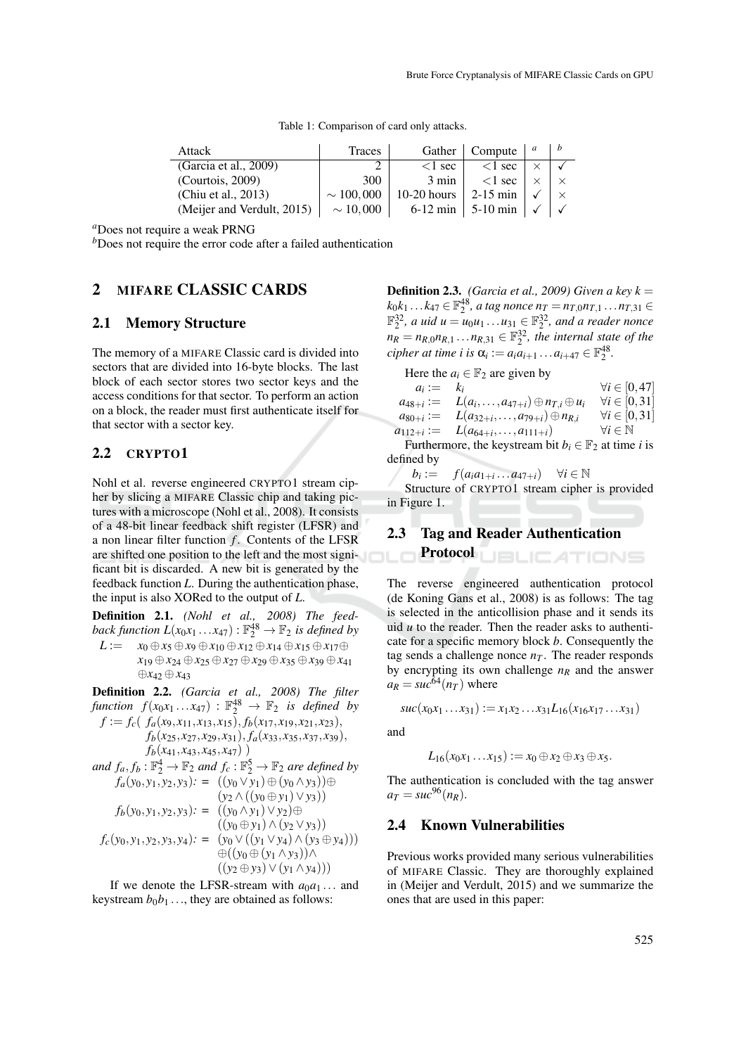Table 1: Comparison of card only attacks.

| Attack                     | Traces         |                 | Gather   Compute                   | b |
|----------------------------|----------------|-----------------|------------------------------------|---|
| (Garcia et al., $2009$ )   |                | $\leq 1$ sec    | $\leq$ 1 sec                       |   |
| (Courtois, 2009)           | 300            | $3 \text{ min}$ | $<$ 1 sec                          |   |
| (Chiu et al., 2013)        | $\sim$ 100,000 | $10-20$ hours   | $2-15$ min                         |   |
| (Meijer and Verdult, 2015) | $\sim 10,000$  |                 | 6-12 min   5-10 min   $\checkmark$ |   |

*<sup>a</sup>*Does not require a weak PRNG

*b*Does not require the error code after a failed authentication

#### 2 MIFARE CLASSIC CARDS

#### 2.1 Memory Structure

The memory of a MIFARE Classic card is divided into sectors that are divided into 16-byte blocks. The last block of each sector stores two sector keys and the access conditions for that sector. To perform an action on a block, the reader must first authenticate itself for that sector with a sector key.

#### 2.2 CRYPTO1

Nohl et al. reverse engineered CRYPTO1 stream cipher by slicing a MIFARE Classic chip and taking pictures with a microscope (Nohl et al., 2008). It consists of a 48-bit linear feedback shift register (LFSR) and a non linear filter function *f* . Contents of the LFSR are shifted one position to the left and the most significant bit is discarded. A new bit is generated by the feedback function *L*. During the authentication phase, the input is also XORed to the output of *L*.

Definition 2.1. *(Nohl et al., 2008) The feed*back function  $L(x_0x_1 \ldots x_{47}) : \mathbb{F}_2^{48} \to \mathbb{F}_2$  is defined by *L* :=  $x_0 \oplus x_5 \oplus x_9 \oplus x_{10} \oplus x_{12} \oplus x_{14} \oplus x_{15} \oplus x_{17} \oplus$ *x*<sup>19</sup> ⊕*x*<sup>24</sup> ⊕*x*<sup>25</sup> ⊕*x*<sup>27</sup> ⊕*x*<sup>29</sup> ⊕*x*<sup>35</sup> ⊕*x*<sup>39</sup> ⊕*x*<sup>41</sup>

Definition 2.2. *(Garcia et al., 2008) The filter*  $f$ *unction*  $f(x_0x_1 \ldots x_{47})$  :  $\mathbb{F}_2^{48} \to \mathbb{F}_2$  *is defined by* 

⊕*x*<sup>42</sup> ⊕*x*<sup>43</sup>

 $f := f_c(f_a(x_9, x_{11}, x_{13}, x_{15}), f_b(x_{17}, x_{19}, x_{21}, x_{23}),$ *fb*(*x*25, *x*27, *x*29, *x*31), *fa*(*x*33, *x*35, *x*37, *x*39),  $f_b(x_{41}, x_{43}, x_{45}, x_{47})$ 

and 
$$
f_a, f_b : \mathbb{F}_2^4 \to \mathbb{F}_2
$$
 and  $f_c : \mathbb{F}_2^5 \to \mathbb{F}_2$  are defined by  
\n $f_a(y_0, y_1, y_2, y_3) := ((y_0 \vee y_1) \oplus (y_0 \wedge y_3)) \oplus$   
\n $(y_2 \wedge ((y_0 \oplus y_1) \vee y_3))$   
\n $f_b(y_0, y_1, y_2, y_3) := ((y_0 \wedge y_1) \vee y_2) \oplus$   
\n $((y_0 \oplus y_1) \wedge (y_2 \vee y_3))$   
\n $f_c(y_0, y_1, y_2, y_3, y_4) := (y_0 \vee ((y_1 \vee y_4) \wedge (y_3 \oplus y_4)))$   
\n $\oplus ((y_0 \oplus (y_1 \wedge y_3)) \wedge$   
\n $((y_2 \oplus y_3) \vee (y_1 \wedge y_4)))$ 

If we denote the LFSR-stream with  $a_0a_1...$  and keystream  $b_0b_1 \dots$ , they are obtained as follows:

**Definition 2.3.** *(Garcia et al., 2009) Given a key k* =  $k_0 k_1 ... k_{47}$  ∈  $\mathbb{F}_2^{48}$ , *a tag nonce*  $n_T = n_{T,0} n_{T,1} ... n_{T,31}$  ∈  $\mathbb{F}_2^{32}$ , *a uid u* =  $u_0u_1 \dots u_{31} \in \mathbb{F}_2^{32}$ , *and a reader nonce*  $n_R = n_{R,0} n_{R,1} \ldots n_{R,31} \in \mathbb{F}_2^{32}$ , the internal state of the  $$ 

Here the  $a_i \in \mathbb{F}_2$  are given by

| $a_i := k_i$ |                                                                           | $\forall i \in [0, 47]$    |
|--------------|---------------------------------------------------------------------------|----------------------------|
|              | $a_{48+i} := L(a_i, \ldots, a_{47+i}) \oplus n_{T,i} \oplus u_i$          | $\forall i \in [0,31]$     |
|              | $a_{80+i} := L(a_{32+i}, \ldots, a_{79+i}) \oplus n_{R,i}$                | $\forall i \in [0,31]$     |
|              | $a_{112+i} := L(a_{64+i}, \ldots, a_{111+i})$                             | $\forall i \in \mathbb{N}$ |
|              | Furthermore, the keystream bit $b_i \in \mathbb{F}_2$ at time <i>i</i> is |                            |
| defined by   |                                                                           |                            |

 $b_i := f(a_i a_{1+i} \dots a_{47+i}) \quad \forall i \in \mathbb{N}$ 

Structure of CRYPTO1 stream cipher is provided in Figure 1.

# 2.3 Tag and Reader Authentication

Protocol **JBLIC ATIONS** 

The reverse engineered authentication protocol (de Koning Gans et al., 2008) is as follows: The tag is selected in the anticollision phase and it sends its uid *u* to the reader. Then the reader asks to authenticate for a specific memory block *b*. Consequently the tag sends a challenge nonce  $n<sub>T</sub>$ . The reader responds by encrypting its own challenge  $n<sub>R</sub>$  and the answer  $a_R = \frac{\dot{b}^2}{4(n)}$  where

 $suc(x_0x_1...x_{31}) := x_1x_2...x_{31}L_{16}(x_{16}x_{17}...x_{31})$ 

and

$$
L_{16}(x_0x_1\ldots x_{15}):=x_0\oplus x_2\oplus x_3\oplus x_5.
$$

The authentication is concluded with the tag answer  $a_T = \frac{3\pi}{96} (n_R)$ .

#### 2.4 Known Vulnerabilities

Previous works provided many serious vulnerabilities of MIFARE Classic. They are thoroughly explained in (Meijer and Verdult, 2015) and we summarize the ones that are used in this paper: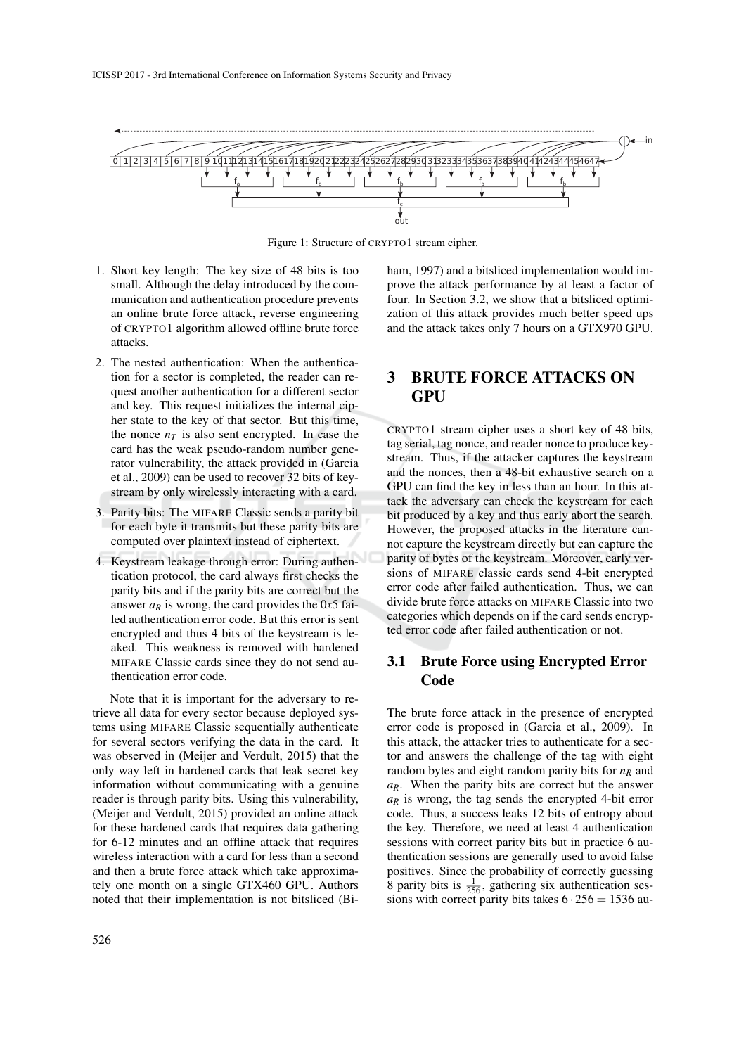

Figure 1: Structure of CRYPTO1 stream cipher.

- 1. Short key length: The key size of 48 bits is too small. Although the delay introduced by the communication and authentication procedure prevents an online brute force attack, reverse engineering of CRYPTO1 algorithm allowed offline brute force attacks.
- 2. The nested authentication: When the authentication for a sector is completed, the reader can request another authentication for a different sector and key. This request initializes the internal cipher state to the key of that sector. But this time, the nonce  $n<sub>T</sub>$  is also sent encrypted. In case the card has the weak pseudo-random number generator vulnerability, the attack provided in (Garcia et al., 2009) can be used to recover 32 bits of keystream by only wirelessly interacting with a card.
- 3. Parity bits: The MIFARE Classic sends a parity bit for each byte it transmits but these parity bits are computed over plaintext instead of ciphertext.
- 4. Keystream leakage through error: During authentication protocol, the card always first checks the parity bits and if the parity bits are correct but the answer  $a_R$  is wrong, the card provides the 0*x*5 failed authentication error code. But this error is sent encrypted and thus 4 bits of the keystream is leaked. This weakness is removed with hardened MIFARE Classic cards since they do not send authentication error code.

Note that it is important for the adversary to retrieve all data for every sector because deployed systems using MIFARE Classic sequentially authenticate for several sectors verifying the data in the card. It was observed in (Meijer and Verdult, 2015) that the only way left in hardened cards that leak secret key information without communicating with a genuine reader is through parity bits. Using this vulnerability, (Meijer and Verdult, 2015) provided an online attack for these hardened cards that requires data gathering for 6-12 minutes and an offline attack that requires wireless interaction with a card for less than a second and then a brute force attack which take approximately one month on a single GTX460 GPU. Authors noted that their implementation is not bitsliced (Biham, 1997) and a bitsliced implementation would improve the attack performance by at least a factor of four. In Section 3.2, we show that a bitsliced optimization of this attack provides much better speed ups and the attack takes only 7 hours on a GTX970 GPU.

## 3 BRUTE FORCE ATTACKS ON GPU

CRYPTO1 stream cipher uses a short key of 48 bits, tag serial, tag nonce, and reader nonce to produce keystream. Thus, if the attacker captures the keystream and the nonces, then a 48-bit exhaustive search on a GPU can find the key in less than an hour. In this attack the adversary can check the keystream for each bit produced by a key and thus early abort the search. However, the proposed attacks in the literature cannot capture the keystream directly but can capture the parity of bytes of the keystream. Moreover, early versions of MIFARE classic cards send 4-bit encrypted error code after failed authentication. Thus, we can divide brute force attacks on MIFARE Classic into two categories which depends on if the card sends encrypted error code after failed authentication or not.

### 3.1 Brute Force using Encrypted Error Code

The brute force attack in the presence of encrypted error code is proposed in (Garcia et al., 2009). In this attack, the attacker tries to authenticate for a sector and answers the challenge of the tag with eight random bytes and eight random parity bits for  $n<sub>R</sub>$  and *aR*. When the parity bits are correct but the answer  $a_R$  is wrong, the tag sends the encrypted 4-bit error code. Thus, a success leaks 12 bits of entropy about the key. Therefore, we need at least 4 authentication sessions with correct parity bits but in practice 6 authentication sessions are generally used to avoid false positives. Since the probability of correctly guessing 8 parity bits is  $\frac{1}{256}$ , gathering six authentication sessions with correct parity bits takes  $6 \cdot 256 = 1536$  au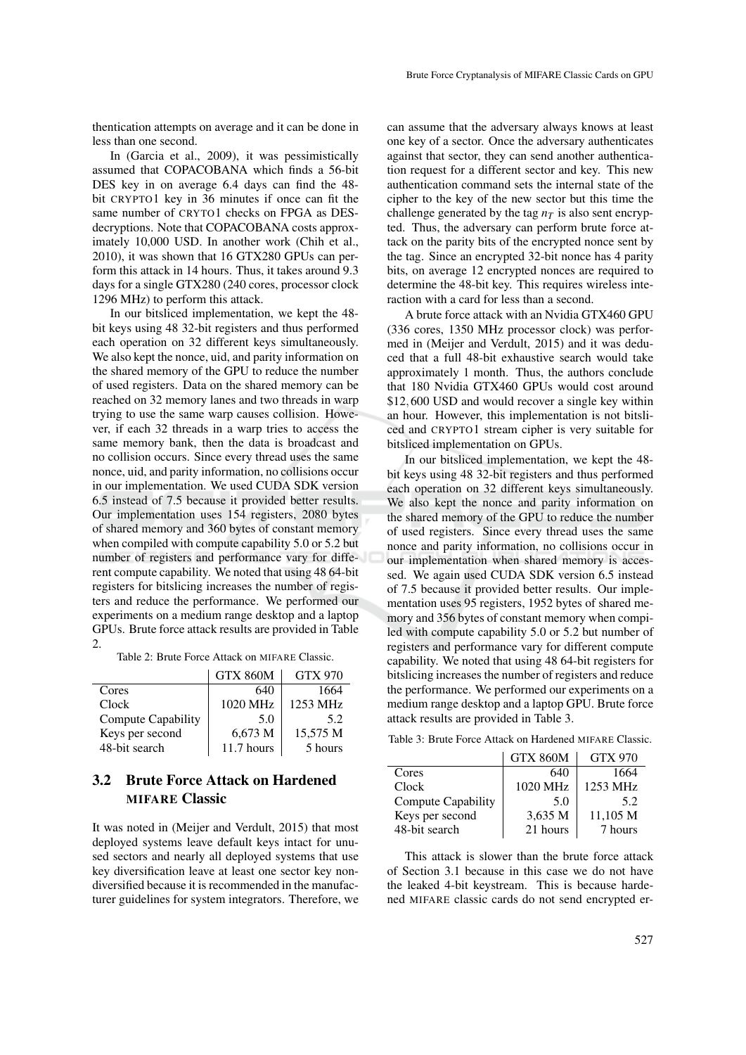thentication attempts on average and it can be done in less than one second.

In (Garcia et al., 2009), it was pessimistically assumed that COPACOBANA which finds a 56-bit DES key in on average 6.4 days can find the 48 bit CRYPTO1 key in 36 minutes if once can fit the same number of CRYTO1 checks on FPGA as DESdecryptions. Note that COPACOBANA costs approximately 10,000 USD. In another work (Chih et al., 2010), it was shown that 16 GTX280 GPUs can perform this attack in 14 hours. Thus, it takes around 9.3 days for a single GTX280 (240 cores, processor clock 1296 MHz) to perform this attack.

In our bitsliced implementation, we kept the 48 bit keys using 48 32-bit registers and thus performed each operation on 32 different keys simultaneously. We also kept the nonce, uid, and parity information on the shared memory of the GPU to reduce the number of used registers. Data on the shared memory can be reached on 32 memory lanes and two threads in warp trying to use the same warp causes collision. However, if each 32 threads in a warp tries to access the same memory bank, then the data is broadcast and no collision occurs. Since every thread uses the same nonce, uid, and parity information, no collisions occur in our implementation. We used CUDA SDK version 6.5 instead of 7.5 because it provided better results. Our implementation uses 154 registers, 2080 bytes of shared memory and 360 bytes of constant memory when compiled with compute capability 5.0 or 5.2 but number of registers and performance vary for different compute capability. We noted that using 48 64-bit registers for bitslicing increases the number of registers and reduce the performance. We performed our experiments on a medium range desktop and a laptop GPUs. Brute force attack results are provided in Table 2.

Table 2: Brute Force Attack on MIFARE Classic.

|                    | <b>GTX 860M</b> | GTX 970  |
|--------------------|-----------------|----------|
| Cores              | 640             | 1664     |
| Clock              | 1020 MHz        | 1253 MHz |
| Compute Capability | 5.0             | 5.2      |
| Keys per second    | 6,673 M         | 15.575 M |
| 48-bit search      | 11.7 hours      | 5 hours  |

## 3.2 Brute Force Attack on Hardened MIFARE Classic

It was noted in (Meijer and Verdult, 2015) that most deployed systems leave default keys intact for unused sectors and nearly all deployed systems that use key diversification leave at least one sector key nondiversified because it is recommended in the manufacturer guidelines for system integrators. Therefore, we

can assume that the adversary always knows at least one key of a sector. Once the adversary authenticates against that sector, they can send another authentication request for a different sector and key. This new authentication command sets the internal state of the cipher to the key of the new sector but this time the challenge generated by the tag  $n<sub>T</sub>$  is also sent encrypted. Thus, the adversary can perform brute force attack on the parity bits of the encrypted nonce sent by the tag. Since an encrypted 32-bit nonce has 4 parity bits, on average 12 encrypted nonces are required to determine the 48-bit key. This requires wireless interaction with a card for less than a second.

A brute force attack with an Nvidia GTX460 GPU (336 cores, 1350 MHz processor clock) was performed in (Meijer and Verdult, 2015) and it was deduced that a full 48-bit exhaustive search would take approximately 1 month. Thus, the authors conclude that 180 Nvidia GTX460 GPUs would cost around \$12,600 USD and would recover a single key within an hour. However, this implementation is not bitsliced and CRYPTO1 stream cipher is very suitable for bitsliced implementation on GPUs.

In our bitsliced implementation, we kept the 48 bit keys using 48 32-bit registers and thus performed each operation on 32 different keys simultaneously. We also kept the nonce and parity information on the shared memory of the GPU to reduce the number of used registers. Since every thread uses the same nonce and parity information, no collisions occur in our implementation when shared memory is accessed. We again used CUDA SDK version 6.5 instead of 7.5 because it provided better results. Our implementation uses 95 registers, 1952 bytes of shared memory and 356 bytes of constant memory when compiled with compute capability 5.0 or 5.2 but number of registers and performance vary for different compute capability. We noted that using 48 64-bit registers for bitslicing increases the number of registers and reduce the performance. We performed our experiments on a medium range desktop and a laptop GPU. Brute force attack results are provided in Table 3.

Table 3: Brute Force Attack on Hardened MIFARE Classic.

|                    | <b>GTX 860M</b> | <b>GTX 970</b> |
|--------------------|-----------------|----------------|
| Cores              | 640             | 1664           |
| Clock              | 1020 MHz        | 1253 MHz       |
| Compute Capability | 5.0             | 52             |
| Keys per second    | 3,635 M         | 11.105 M       |
| 48-bit search      | 21 hours        | 7 hours        |

This attack is slower than the brute force attack of Section 3.1 because in this case we do not have the leaked 4-bit keystream. This is because hardened MIFARE classic cards do not send encrypted er